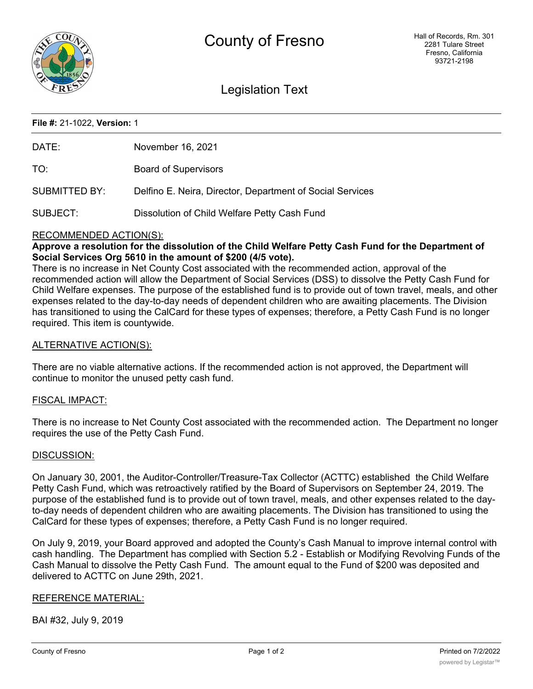

# Legislation Text

# **File #:** 21-1022, **Version:** 1

| DATE:         | November 16, 2021                                         |
|---------------|-----------------------------------------------------------|
| TO:           | <b>Board of Supervisors</b>                               |
| SUBMITTED BY: | Delfino E. Neira, Director, Department of Social Services |
| SUBJECT:      | Dissolution of Child Welfare Petty Cash Fund              |

### RECOMMENDED ACTION(S):

**Approve a resolution for the dissolution of the Child Welfare Petty Cash Fund for the Department of Social Services Org 5610 in the amount of \$200 (4/5 vote).**

There is no increase in Net County Cost associated with the recommended action, approval of the recommended action will allow the Department of Social Services (DSS) to dissolve the Petty Cash Fund for Child Welfare expenses. The purpose of the established fund is to provide out of town travel, meals, and other expenses related to the day-to-day needs of dependent children who are awaiting placements. The Division has transitioned to using the CalCard for these types of expenses; therefore, a Petty Cash Fund is no longer required. This item is countywide.

# ALTERNATIVE ACTION(S):

There are no viable alternative actions. If the recommended action is not approved, the Department will continue to monitor the unused petty cash fund.

#### FISCAL IMPACT:

There is no increase to Net County Cost associated with the recommended action. The Department no longer requires the use of the Petty Cash Fund.

#### DISCUSSION:

On January 30, 2001, the Auditor-Controller/Treasure-Tax Collector (ACTTC) established the Child Welfare Petty Cash Fund, which was retroactively ratified by the Board of Supervisors on September 24, 2019. The purpose of the established fund is to provide out of town travel, meals, and other expenses related to the dayto-day needs of dependent children who are awaiting placements. The Division has transitioned to using the CalCard for these types of expenses; therefore, a Petty Cash Fund is no longer required.

On July 9, 2019, your Board approved and adopted the County's Cash Manual to improve internal control with cash handling. The Department has complied with Section 5.2 - Establish or Modifying Revolving Funds of the Cash Manual to dissolve the Petty Cash Fund. The amount equal to the Fund of \$200 was deposited and delivered to ACTTC on June 29th, 2021.

# REFERENCE MATERIAL:

BAI #32, July 9, 2019